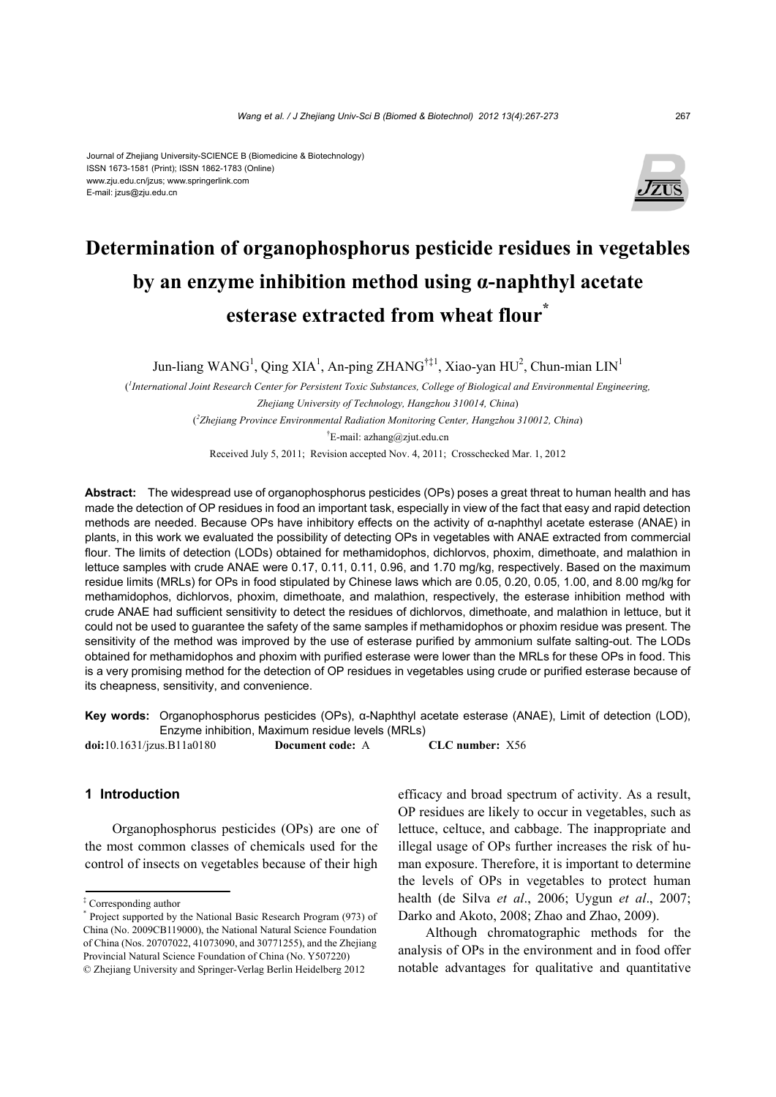#### Journal of Zhejiang University-SCIENCE B (Biomedicine & Biotechnology) ISSN 1673-1581 (Print); ISSN 1862-1783 (Online) www.zju.edu.cn/jzus; www.springerlink.com E-mail: jzus@zju.edu.cn



# **Determination of organophosphorus pesticide residues in vegetables by an enzyme inhibition method using α-naphthyl acetate esterase extracted from wheat flour\***

Jun-liang WANG<sup>1</sup>, Qing XIA<sup>1</sup>, An-ping ZHANG<sup>†‡1</sup>, Xiao-yan HU<sup>2</sup>, Chun-mian LIN<sup>1</sup>

( *1 International Joint Research Center for Persistent Toxic Substances, College of Biological and Environmental Engineering, Zhejiang University of Technology, Hangzhou 310014, China*) ( *2 Zhejiang Province Environmental Radiation Monitoring Center, Hangzhou 310012, China*) † E-mail: azhang@zjut.edu.cn

Received July 5, 2011; Revision accepted Nov. 4, 2011; Crosschecked Mar. 1, 2012

**Abstract:** The widespread use of organophosphorus pesticides (OPs) poses a great threat to human health and has made the detection of OP residues in food an important task, especially in view of the fact that easy and rapid detection methods are needed. Because OPs have inhibitory effects on the activity of α-naphthyl acetate esterase (ANAE) in plants, in this work we evaluated the possibility of detecting OPs in vegetables with ANAE extracted from commercial flour. The limits of detection (LODs) obtained for methamidophos, dichlorvos, phoxim, dimethoate, and malathion in lettuce samples with crude ANAE were 0.17, 0.11, 0.11, 0.96, and 1.70 mg/kg, respectively. Based on the maximum residue limits (MRLs) for OPs in food stipulated by Chinese laws which are 0.05, 0.20, 0.05, 1.00, and 8.00 mg/kg for methamidophos, dichlorvos, phoxim, dimethoate, and malathion, respectively, the esterase inhibition method with crude ANAE had sufficient sensitivity to detect the residues of dichlorvos, dimethoate, and malathion in lettuce, but it could not be used to guarantee the safety of the same samples if methamidophos or phoxim residue was present. The sensitivity of the method was improved by the use of esterase purified by ammonium sulfate salting-out. The LODs obtained for methamidophos and phoxim with purified esterase were lower than the MRLs for these OPs in food. This is a very promising method for the detection of OP residues in vegetables using crude or purified esterase because of its cheapness, sensitivity, and convenience.

**Key words:** Organophosphorus pesticides (OPs), α-Naphthyl acetate esterase (ANAE), Limit of detection (LOD), Enzyme inhibition, Maximum residue levels (MRLs)

**doi:**10.1631/jzus.B11a0180 **Document code:** A **CLC number:** X56

# **1 Introduction**

Organophosphorus pesticides (OPs) are one of the most common classes of chemicals used for the control of insects on vegetables because of their high

efficacy and broad spectrum of activity. As a result, OP residues are likely to occur in vegetables, such as lettuce, celtuce, and cabbage. The inappropriate and illegal usage of OPs further increases the risk of human exposure. Therefore, it is important to determine the levels of OPs in vegetables to protect human health (de Silva *et al*., 2006; Uygun *et al*., 2007; Darko and Akoto, 2008; Zhao and Zhao, 2009).

Although chromatographic methods for the analysis of OPs in the environment and in food offer notable advantages for qualitative and quantitative

<sup>‡</sup> Corresponding author

<sup>\*</sup> Project supported by the National Basic Research Program (973) of China (No. 2009CB119000), the National Natural Science Foundation of China (Nos. 20707022, 41073090, and 30771255), and the Zhejiang Provincial Natural Science Foundation of China (No. Y507220) © Zhejiang University and Springer-Verlag Berlin Heidelberg 2012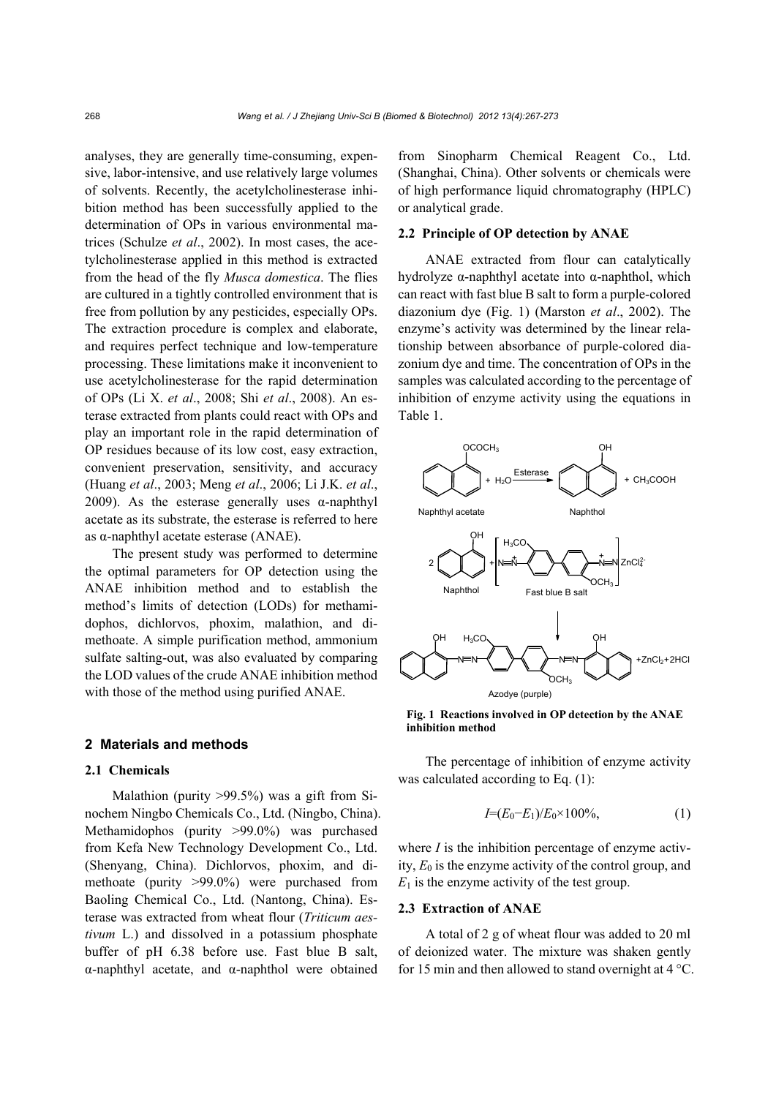analyses, they are generally time-consuming, expensive, labor-intensive, and use relatively large volumes of solvents. Recently, the acetylcholinesterase inhibition method has been successfully applied to the determination of OPs in various environmental matrices (Schulze *et al*., 2002). In most cases, the acetylcholinesterase applied in this method is extracted from the head of the fly *Musca domestica*. The flies are cultured in a tightly controlled environment that is free from pollution by any pesticides, especially OPs. The extraction procedure is complex and elaborate, and requires perfect technique and low-temperature processing. These limitations make it inconvenient to use acetylcholinesterase for the rapid determination of OPs (Li X. *et al*., 2008; Shi *et al*., 2008). An esterase extracted from plants could react with OPs and play an important role in the rapid determination of OP residues because of its low cost, easy extraction, convenient preservation, sensitivity, and accuracy (Huang *et al*., 2003; Meng *et al*., 2006; Li J.K. *et al*., 2009). As the esterase generally uses α-naphthyl acetate as its substrate, the esterase is referred to here as α-naphthyl acetate esterase (ANAE).

The present study was performed to determine the optimal parameters for OP detection using the ANAE inhibition method and to establish the method's limits of detection (LODs) for methamidophos, dichlorvos, phoxim, malathion, and dimethoate. A simple purification method, ammonium sulfate salting-out, was also evaluated by comparing the LOD values of the crude ANAE inhibition method with those of the method using purified ANAE.

## **2 Materials and methods**

#### **2.1 Chemicals**

Malathion (purity >99.5%) was a gift from Sinochem Ningbo Chemicals Co., Ltd. (Ningbo, China). Methamidophos (purity >99.0%) was purchased from Kefa New Technology Development Co., Ltd. (Shenyang, China). Dichlorvos, phoxim, and dimethoate (purity >99.0%) were purchased from Baoling Chemical Co., Ltd. (Nantong, China). Esterase was extracted from wheat flour (*Triticum aestivum* L.) and dissolved in a potassium phosphate buffer of pH 6.38 before use. Fast blue B salt, α-naphthyl acetate, and α-naphthol were obtained

from Sinopharm Chemical Reagent Co., Ltd. (Shanghai, China). Other solvents or chemicals were of high performance liquid chromatography (HPLC) or analytical grade.

## **2.2 Principle of OP detection by ANAE**

ANAE extracted from flour can catalytically hydrolyze α-naphthyl acetate into α-naphthol, which can react with fast blue B salt to form a purple-colored diazonium dye (Fig. 1) (Marston *et al*., 2002). The enzyme's activity was determined by the linear relationship between absorbance of purple-colored diazonium dye and time. The concentration of OPs in the samples was calculated according to the percentage of inhibition of enzyme activity using the equations in Table 1.



**Fig. 1 Reactions involved in OP detection by the ANAE inhibition method**

The percentage of inhibition of enzyme activity was calculated according to Eq.  $(1)$ :

$$
I=(E_0-E_1)/E_0\times 100\%,\t\t(1)
$$

where *I* is the inhibition percentage of enzyme activity,  $E_0$  is the enzyme activity of the control group, and  $E_1$  is the enzyme activity of the test group.

#### **2.3 Extraction of ANAE**

A total of 2 g of wheat flour was added to 20 ml of deionized water. The mixture was shaken gently for 15 min and then allowed to stand overnight at 4 °C.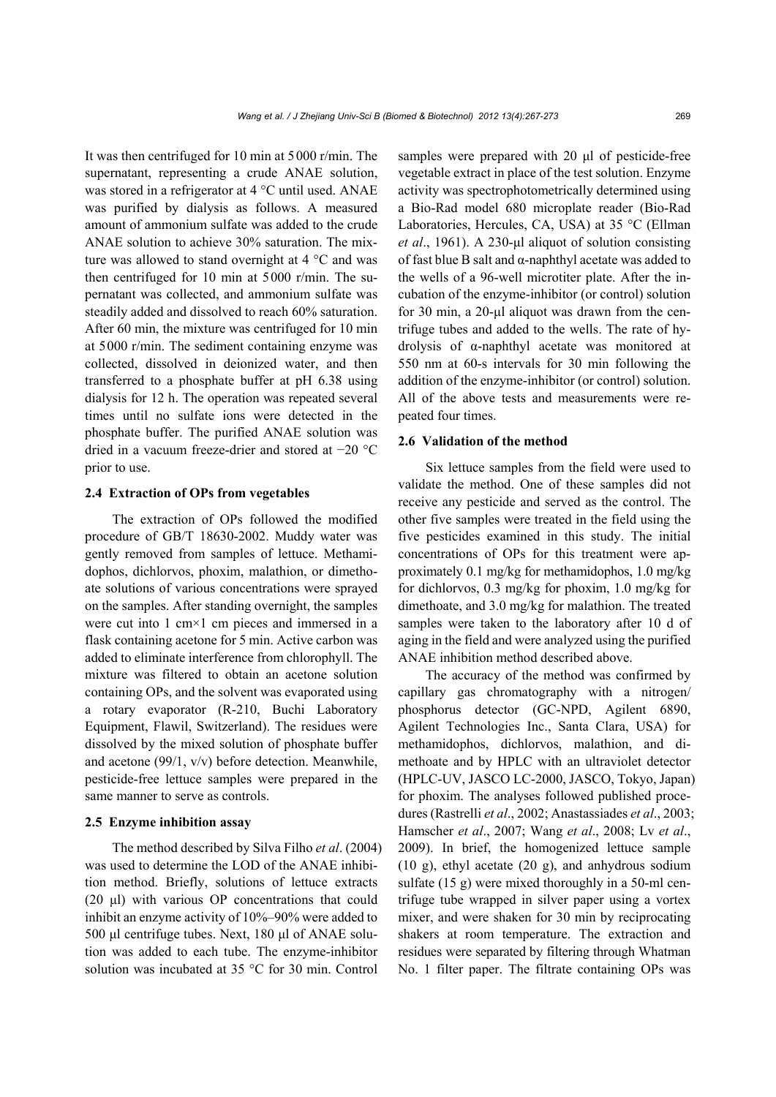It was then centrifuged for 10 min at 5000 r/min. The supernatant, representing a crude ANAE solution, was stored in a refrigerator at 4 °C until used. ANAE was purified by dialysis as follows. A measured amount of ammonium sulfate was added to the crude ANAE solution to achieve 30% saturation. The mixture was allowed to stand overnight at 4 °C and was then centrifuged for 10 min at 5000 r/min. The supernatant was collected, and ammonium sulfate was steadily added and dissolved to reach 60% saturation. After 60 min, the mixture was centrifuged for 10 min at 5000 r/min. The sediment containing enzyme was collected, dissolved in deionized water, and then transferred to a phosphate buffer at pH 6.38 using dialysis for 12 h. The operation was repeated several times until no sulfate ions were detected in the phosphate buffer. The purified ANAE solution was dried in a vacuum freeze-drier and stored at −20 °C prior to use.

## **2.4 Extraction of OPs from vegetables**

The extraction of OPs followed the modified procedure of GB/T 18630-2002. Muddy water was gently removed from samples of lettuce. Methamidophos, dichlorvos, phoxim, malathion, or dimethoate solutions of various concentrations were sprayed on the samples. After standing overnight, the samples were cut into 1 cm×1 cm pieces and immersed in a flask containing acetone for 5 min. Active carbon was added to eliminate interference from chlorophyll. The mixture was filtered to obtain an acetone solution containing OPs, and the solvent was evaporated using a rotary evaporator (R-210, Buchi Laboratory Equipment, Flawil, Switzerland). The residues were dissolved by the mixed solution of phosphate buffer and acetone (99/1, v/v) before detection. Meanwhile, pesticide-free lettuce samples were prepared in the same manner to serve as controls.

#### **2.5 Enzyme inhibition assay**

The method described by Silva Filho *et al*. (2004) was used to determine the LOD of the ANAE inhibition method. Briefly, solutions of lettuce extracts (20 μl) with various OP concentrations that could inhibit an enzyme activity of 10%–90% were added to 500 μl centrifuge tubes. Next, 180 μl of ANAE solution was added to each tube. The enzyme-inhibitor solution was incubated at 35 °C for 30 min. Control

samples were prepared with 20 μl of pesticide-free vegetable extract in place of the test solution. Enzyme activity was spectrophotometrically determined using a Bio-Rad model 680 microplate reader (Bio-Rad Laboratories, Hercules, CA, USA) at 35 °C (Ellman *et al*., 1961). A 230-μl aliquot of solution consisting of fast blue B salt and  $\alpha$ -naphthyl acetate was added to the wells of a 96-well microtiter plate. After the incubation of the enzyme-inhibitor (or control) solution for 30 min, a 20-μl aliquot was drawn from the centrifuge tubes and added to the wells. The rate of hydrolysis of α-naphthyl acetate was monitored at 550 nm at 60-s intervals for 30 min following the addition of the enzyme-inhibitor (or control) solution. All of the above tests and measurements were repeated four times.

#### **2.6 Validation of the method**

Six lettuce samples from the field were used to validate the method. One of these samples did not receive any pesticide and served as the control. The other five samples were treated in the field using the five pesticides examined in this study. The initial concentrations of OPs for this treatment were approximately 0.1 mg/kg for methamidophos, 1.0 mg/kg for dichlorvos, 0.3 mg/kg for phoxim, 1.0 mg/kg for dimethoate, and 3.0 mg/kg for malathion. The treated samples were taken to the laboratory after 10 d of aging in the field and were analyzed using the purified ANAE inhibition method described above.

The accuracy of the method was confirmed by capillary gas chromatography with a nitrogen/ phosphorus detector (GC-NPD, Agilent 6890, Agilent Technologies Inc., Santa Clara, USA) for methamidophos, dichlorvos, malathion, and dimethoate and by HPLC with an ultraviolet detector (HPLC-UV, JASCO LC-2000, JASCO, Tokyo, Japan) for phoxim. The analyses followed published procedures (Rastrelli *et al*., 2002; Anastassiades *et al*., 2003; Hamscher *et al*., 2007; Wang *et al*., 2008; Lv *et al*., 2009). In brief, the homogenized lettuce sample (10 g), ethyl acetate (20 g), and anhydrous sodium sulfate (15 g) were mixed thoroughly in a 50-ml centrifuge tube wrapped in silver paper using a vortex mixer, and were shaken for 30 min by reciprocating shakers at room temperature. The extraction and residues were separated by filtering through Whatman No. 1 filter paper. The filtrate containing OPs was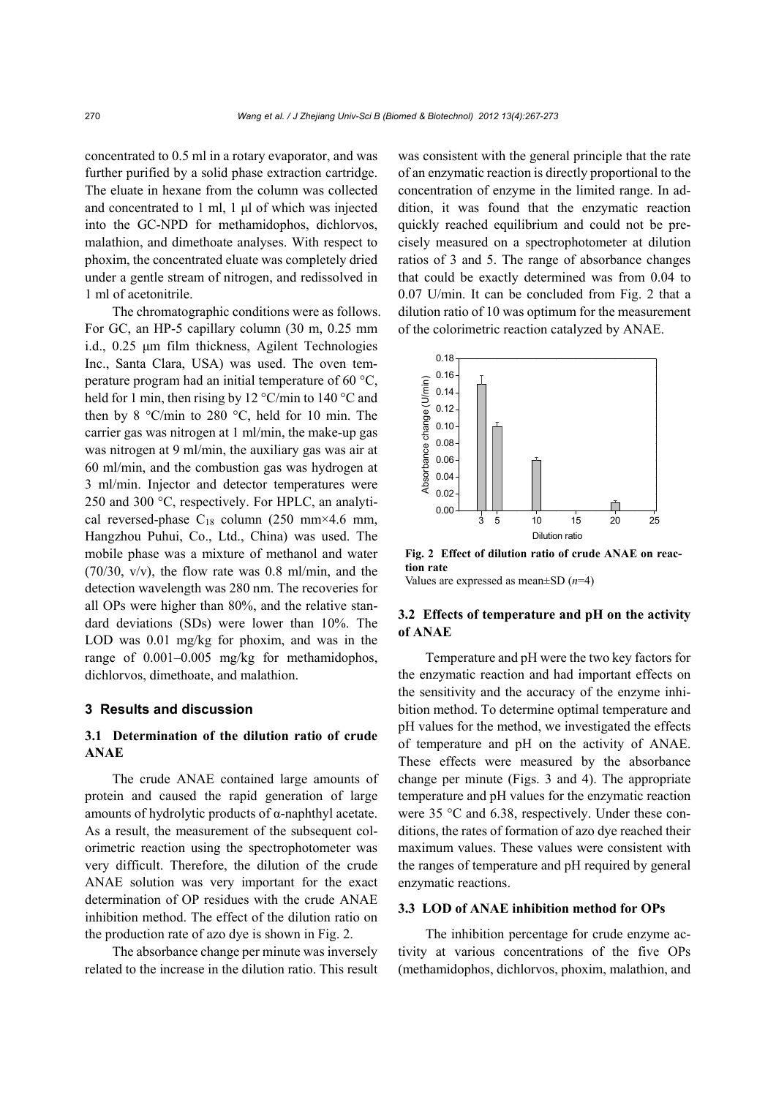concentrated to 0.5 ml in a rotary evaporator, and was further purified by a solid phase extraction cartridge. The eluate in hexane from the column was collected and concentrated to 1 ml, 1 μl of which was injected into the GC-NPD for methamidophos, dichlorvos, malathion, and dimethoate analyses. With respect to phoxim, the concentrated eluate was completely dried under a gentle stream of nitrogen, and redissolved in 1 ml of acetonitrile.

The chromatographic conditions were as follows. For GC, an HP-5 capillary column (30 m, 0.25 mm i.d., 0.25 μm film thickness, Agilent Technologies Inc., Santa Clara, USA) was used. The oven temperature program had an initial temperature of 60 °C, held for 1 min, then rising by 12 °C/min to 140 °C and then by 8 °C/min to 280 °C, held for 10 min. The carrier gas was nitrogen at 1 ml/min, the make-up gas was nitrogen at 9 ml/min, the auxiliary gas was air at 60 ml/min, and the combustion gas was hydrogen at 3 ml/min. Injector and detector temperatures were 250 and 300 °C, respectively. For HPLC, an analytical reversed-phase  $C_{18}$  column (250 mm×4.6 mm, Hangzhou Puhui, Co., Ltd., China) was used. The mobile phase was a mixture of methanol and water  $(70/30, v/v)$ , the flow rate was 0.8 ml/min, and the detection wavelength was 280 nm. The recoveries for all OPs were higher than 80%, and the relative standard deviations (SDs) were lower than 10%. The LOD was 0.01 mg/kg for phoxim, and was in the range of 0.001–0.005 mg/kg for methamidophos, dichlorvos, dimethoate, and malathion.

## **3 Results and discussion**

## **3.1 Determination of the dilution ratio of crude ANAE**

The crude ANAE contained large amounts of protein and caused the rapid generation of large amounts of hydrolytic products of α-naphthyl acetate. As a result, the measurement of the subsequent colorimetric reaction using the spectrophotometer was very difficult. Therefore, the dilution of the crude ANAE solution was very important for the exact determination of OP residues with the crude ANAE inhibition method. The effect of the dilution ratio on the production rate of azo dye is shown in Fig. 2.

The absorbance change per minute was inversely related to the increase in the dilution ratio. This result was consistent with the general principle that the rate of an enzymatic reaction is directly proportional to the concentration of enzyme in the limited range. In addition, it was found that the enzymatic reaction quickly reached equilibrium and could not be precisely measured on a spectrophotometer at dilution ratios of 3 and 5. The range of absorbance changes that could be exactly determined was from 0.04 to 0.07 U/min. It can be concluded from Fig. 2 that a dilution ratio of 10 was optimum for the measurement of the colorimetric reaction catalyzed by ANAE.



**Fig. 2 Effect of dilution ratio of crude ANAE on reaction rate** 

Values are expressed as mean±SD (*n*=4)

## **3.2 Effects of temperature and pH on the activity of ANAE**

Temperature and pH were the two key factors for the enzymatic reaction and had important effects on the sensitivity and the accuracy of the enzyme inhibition method. To determine optimal temperature and pH values for the method, we investigated the effects of temperature and pH on the activity of ANAE. These effects were measured by the absorbance change per minute (Figs. 3 and 4). The appropriate temperature and pH values for the enzymatic reaction were 35 °C and 6.38, respectively. Under these conditions, the rates of formation of azo dye reached their maximum values. These values were consistent with the ranges of temperature and pH required by general enzymatic reactions.

## **3.3 LOD of ANAE inhibition method for OPs**

The inhibition percentage for crude enzyme activity at various concentrations of the five OPs (methamidophos, dichlorvos, phoxim, malathion, and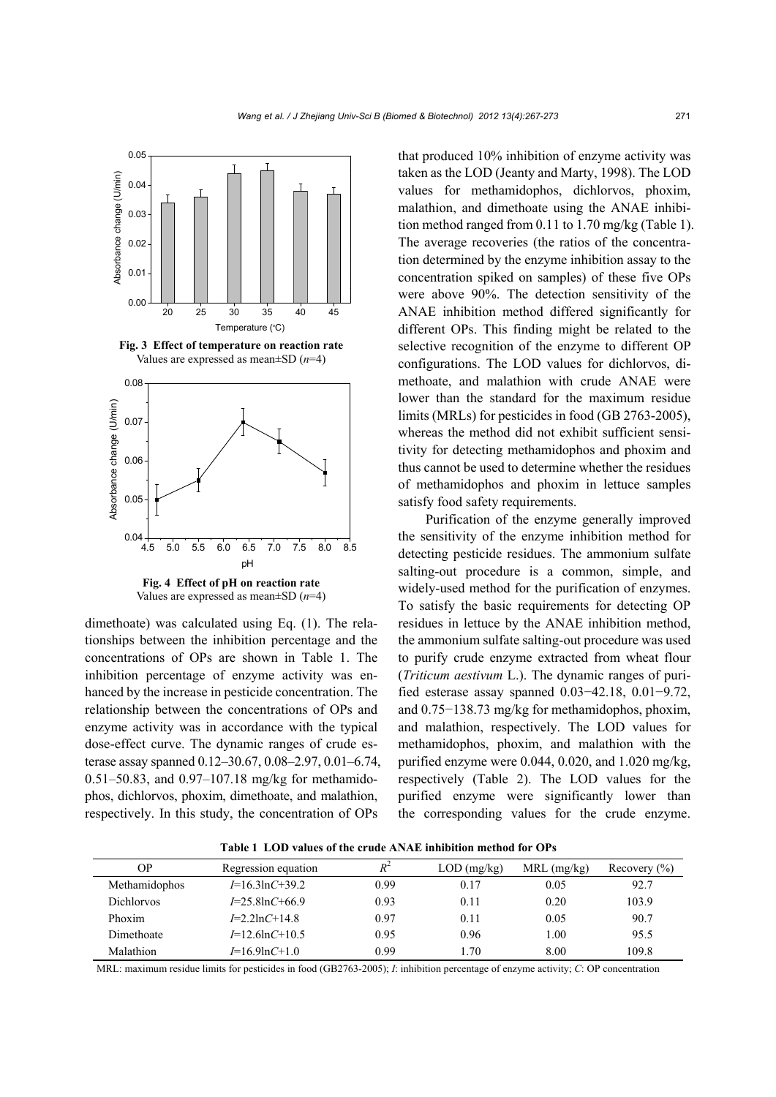

dimethoate) was calculated using Eq. (1). The relationships between the inhibition percentage and the concentrations of OPs are shown in Table 1. The inhibition percentage of enzyme activity was enhanced by the increase in pesticide concentration. The relationship between the concentrations of OPs and enzyme activity was in accordance with the typical dose-effect curve. The dynamic ranges of crude esterase assay spanned 0.12–30.67, 0.08–2.97, 0.01–6.74, 0.51–50.83, and 0.97–107.18 mg/kg for methamidophos, dichlorvos, phoxim, dimethoate, and malathion, respectively. In this study, the concentration of OPs

that produced 10% inhibition of enzyme activity was taken as the LOD (Jeanty and Marty, 1998). The LOD values for methamidophos, dichlorvos, phoxim, malathion, and dimethoate using the ANAE inhibition method ranged from 0.11 to 1.70 mg/kg (Table 1). The average recoveries (the ratios of the concentration determined by the enzyme inhibition assay to the concentration spiked on samples) of these five OPs were above 90%. The detection sensitivity of the ANAE inhibition method differed significantly for different OPs. This finding might be related to the selective recognition of the enzyme to different OP configurations. The LOD values for dichlorvos, dimethoate, and malathion with crude ANAE were lower than the standard for the maximum residue limits (MRLs) for pesticides in food (GB 2763-2005), whereas the method did not exhibit sufficient sensitivity for detecting methamidophos and phoxim and thus cannot be used to determine whether the residues of methamidophos and phoxim in lettuce samples satisfy food safety requirements.

Purification of the enzyme generally improved the sensitivity of the enzyme inhibition method for detecting pesticide residues. The ammonium sulfate salting-out procedure is a common, simple, and widely-used method for the purification of enzymes. To satisfy the basic requirements for detecting OP residues in lettuce by the ANAE inhibition method, the ammonium sulfate salting-out procedure was used to purify crude enzyme extracted from wheat flour (*Triticum aestivum* L.). The dynamic ranges of purified esterase assay spanned 0.03−42.18, 0.01−9.72, and 0.75−138.73 mg/kg for methamidophos, phoxim, and malathion, respectively. The LOD values for methamidophos, phoxim, and malathion with the purified enzyme were 0.044, 0.020, and 1.020 mg/kg, respectively (Table 2). The LOD values for the purified enzyme were significantly lower than the corresponding values for the crude enzyme.

| OР            | Regression equation  | $R^2$ | $LOD$ (mg/kg) | $MRL$ (mg/kg) | Recovery $(\% )$ |
|---------------|----------------------|-------|---------------|---------------|------------------|
| Methamidophos | $I=16.3\ln C+39.2$   | 0.99  | 0.17          | 0.05          | 92.7             |
| Dichlorvos    | $I=25.8\ln C+66.9$   | 0.93  | 0.11          | 0.20          | 103.9            |
| Phoxim        | $I=2.2\ln C+14.8$    | 0.97  | 0.11          | 0.05          | 90.7             |
| Dimethoate    | $I=12.6$ ln $C+10.5$ | 0.95  | 0.96          | 1.00          | 95.5             |
| Malathion     | $I=16.9$ ln $C+1.0$  | 0.99  | .70           | 8.00          | 109.8            |

**Table 1 LOD values of the crude ANAE inhibition method for OPs**

MRL: maximum residue limits for pesticides in food (GB2763-2005); *I*: inhibition percentage of enzyme activity; *C*: OP concentration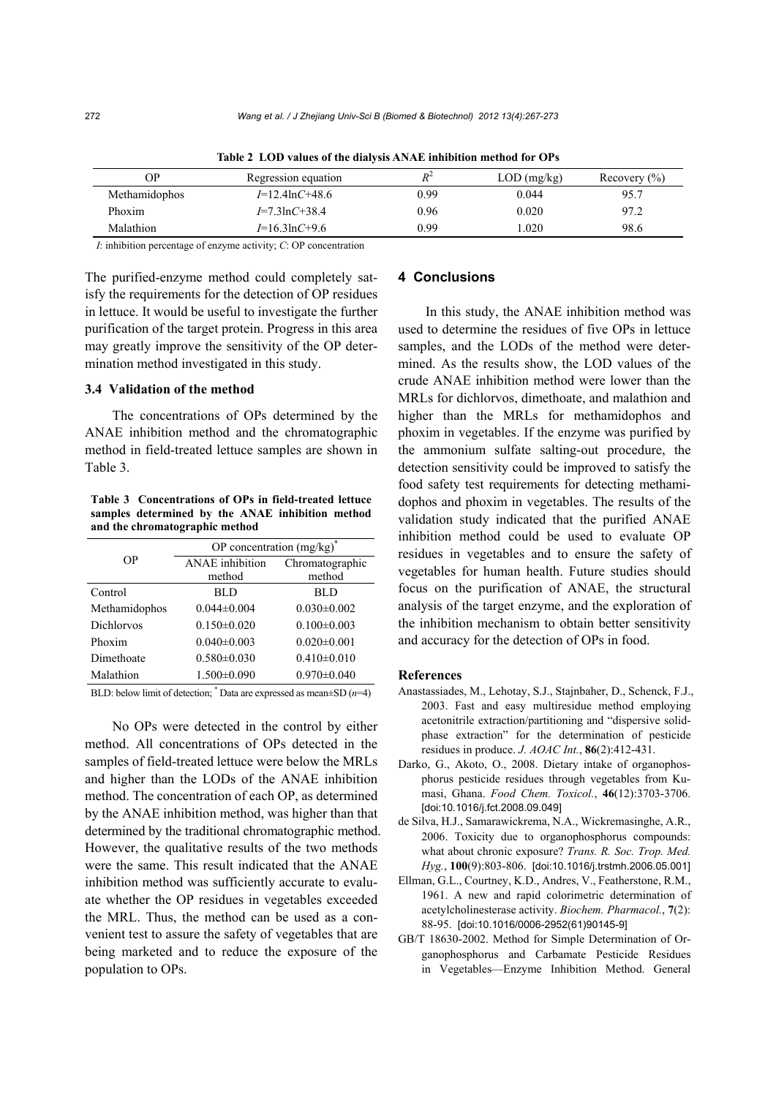| OР            | Regression equation | $R^2$ | $LOD$ (mg/kg) | Recovery $(\% )$ |
|---------------|---------------------|-------|---------------|------------------|
| Methamidophos | $I=12.4$ lnC+48.6   | 0.99  | 0.044         | 95.7             |
| Phoxim        | $I=7.3$ ln $C+38.4$ | 0.96  | 0.020         | 97.2             |
| Malathion     | $I=16.3\ln C+9.6$   | 0.99  | .020          | 98.6             |

**Table 2 LOD values of the dialysis ANAE inhibition method for OPs**

*I*: inhibition percentage of enzyme activity; *C*: OP concentration

The purified-enzyme method could completely satisfy the requirements for the detection of OP residues in lettuce. It would be useful to investigate the further purification of the target protein. Progress in this area may greatly improve the sensitivity of the OP determination method investigated in this study.

## **3.4 Validation of the method**

The concentrations of OPs determined by the ANAE inhibition method and the chromatographic method in field-treated lettuce samples are shown in Table 3.

**Table 3 Concentrations of OPs in field-treated lettuce samples determined by the ANAE inhibition method and the chromatographic method**

|                   | OP concentration $(mg/kg)^*$ |                   |  |  |
|-------------------|------------------------------|-------------------|--|--|
| OΡ                | <b>ANAE</b> inhibition       | Chromatographic   |  |  |
|                   | method                       | method            |  |  |
| Control           | BL D                         | BL D              |  |  |
| Methamidophos     | $0.044\pm0.004$              | $0.030 \pm 0.002$ |  |  |
| <b>Dichlorvos</b> | $0.150 \pm 0.020$            | $0.100 \pm 0.003$ |  |  |
| Phoxim            | $0.040 \pm 0.003$            | $0.020 \pm 0.001$ |  |  |
| Dimethoate        | $0.580 \pm 0.030$            | $0.410 \pm 0.010$ |  |  |
| Malathion         | $1.500 \pm 0.090$            | $0.970 \pm 0.040$ |  |  |

BLD: below limit of detection;  $\check{ }$  Data are expressed as mean $\pm$ SD (*n*=4)

No OPs were detected in the control by either method. All concentrations of OPs detected in the samples of field-treated lettuce were below the MRLs and higher than the LODs of the ANAE inhibition method. The concentration of each OP, as determined by the ANAE inhibition method, was higher than that determined by the traditional chromatographic method. However, the qualitative results of the two methods were the same. This result indicated that the ANAE inhibition method was sufficiently accurate to evaluate whether the OP residues in vegetables exceeded the MRL. Thus, the method can be used as a convenient test to assure the safety of vegetables that are being marketed and to reduce the exposure of the population to OPs.

## **4 Conclusions**

In this study, the ANAE inhibition method was used to determine the residues of five OPs in lettuce samples, and the LODs of the method were determined. As the results show, the LOD values of the crude ANAE inhibition method were lower than the MRLs for dichlorvos, dimethoate, and malathion and higher than the MRLs for methamidophos and phoxim in vegetables. If the enzyme was purified by the ammonium sulfate salting-out procedure, the detection sensitivity could be improved to satisfy the food safety test requirements for detecting methamidophos and phoxim in vegetables. The results of the validation study indicated that the purified ANAE inhibition method could be used to evaluate OP residues in vegetables and to ensure the safety of vegetables for human health. Future studies should focus on the purification of ANAE, the structural analysis of the target enzyme, and the exploration of the inhibition mechanism to obtain better sensitivity and accuracy for the detection of OPs in food.

#### **References**

- Anastassiades, M., Lehotay, S.J., Stajnbaher, D., Schenck, F.J., 2003. Fast and easy multiresidue method employing acetonitrile extraction/partitioning and "dispersive solidphase extraction" for the determination of pesticide residues in produce. *J. AOAC Int.*, **86**(2):412-431.
- Darko, G., Akoto, O., 2008. Dietary intake of organophosphorus pesticide residues through vegetables from Kumasi, Ghana. *Food Chem. Toxicol.*, **46**(12):3703-3706. [doi:10.1016/j.fct.2008.09.049]
- de Silva, H.J., Samarawickrema, N.A., Wickremasinghe, A.R., 2006. Toxicity due to organophosphorus compounds: what about chronic exposure? *Trans. R. Soc. Trop. Med. Hyg.*, **100**(9):803-806. [doi:10.1016/j.trstmh.2006.05.001]
- Ellman, G.L., Courtney, K.D., Andres, V., Featherstone, R.M., 1961. A new and rapid colorimetric determination of acetylcholinesterase activity. *Biochem. Pharmacol.*, **7**(2): 88-95. [doi:10.1016/0006-2952(61)90145-9]
- GB/T 18630-2002. Method for Simple Determination of Organophosphorus and Carbamate Pesticide Residues in Vegetables—Enzyme Inhibition Method. General